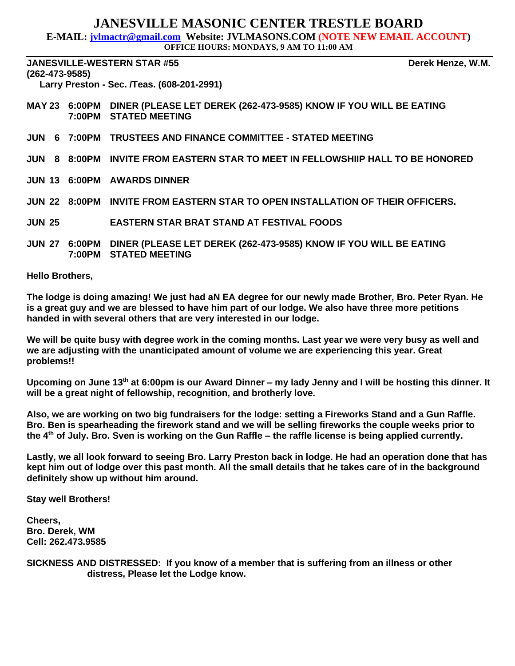### **JANESVILLE MASONIC CENTER TRESTLE BOARD**

**E-MAIL: jvlmactr@gmail.com Website: JVLMASONS.COM (NOTE NEW EMAIL ACCOUNT)**

**OFFICE HOURS: MONDAYS, 9 AM TO 11:00 AM**

**JANESVILLE-WESTERN STAR #55 Derek Henze, W.M. (262-473-9585) Larry Preston - Sec. /Teas. (608-201-2991)** 

- **MAY 23 6:00PM DINER (PLEASE LET DEREK (262-473-9585) KNOW IF YOU WILL BE EATING 7:00PM STATED MEETING**
- **JUN 6 7:00PM TRUSTEES AND FINANCE COMMITTEE - STATED MEETING**
- **JUN 8 8:00PM INVITE FROM EASTERN STAR TO MEET IN FELLOWSHIIP HALL TO BE HONORED**
- **JUN 13 6:00PM AWARDS DINNER**
- **JUN 22 8:00PM INVITE FROM EASTERN STAR TO OPEN INSTALLATION OF THEIR OFFICERS.**
- **JUN 25 EASTERN STAR BRAT STAND AT FESTIVAL FOODS**
- **JUN 27 6:00PM DINER (PLEASE LET DEREK (262-473-9585) KNOW IF YOU WILL BE EATING 7:00PM STATED MEETING**

**Hello Brothers,**

**The lodge is doing amazing! We just had aN EA degree for our newly made Brother, Bro. Peter Ryan. He is a great guy and we are blessed to have him part of our lodge. We also have three more petitions handed in with several others that are very interested in our lodge.**

**We will be quite busy with degree work in the coming months. Last year we were very busy as well and we are adjusting with the unanticipated amount of volume we are experiencing this year. Great problems!!**

Upcoming on June 13<sup>th</sup> at 6:00pm is our Award Dinner – my lady Jenny and I will be hosting this dinner. It **will be a great night of fellowship, recognition, and brotherly love.**

**Also, we are working on two big fundraisers for the lodge: setting a Fireworks Stand and a Gun Raffle. Bro. Ben is spearheading the firework stand and we will be selling fireworks the couple weeks prior to the 4th of July. Bro. Sven is working on the Gun Raffle – the raffle license is being applied currently.**

**Lastly, we all look forward to seeing Bro. Larry Preston back in lodge. He had an operation done that has kept him out of lodge over this past month. All the small details that he takes care of in the background definitely show up without him around.**

**Stay well Brothers!**

**Cheers, Bro. Derek, WM Cell: 262.473.9585**

**SICKNESS AND DISTRESSED: If you know of a member that is suffering from an illness or other distress, Please let the Lodge know.**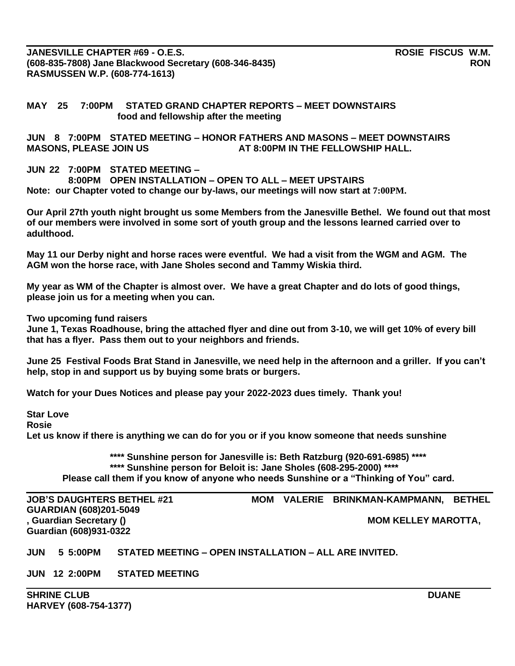**JANESVILLE CHAPTER #69 - O.E.S. ROSIE FISCUS W.M. (608-835-7808) Jane Blackwood Secretary (608-346-8435) RON RASMUSSEN W.P. (608-774-1613)**

#### **MAY 25 7:00PM STATED GRAND CHAPTER REPORTS – MEET DOWNSTAIRS food and fellowship after the meeting**

**JUN 8 7:00PM STATED MEETING – HONOR FATHERS AND MASONS – MEET DOWNSTAIRS**  MASONS, PLEASE JOIN US **AT 8:00PM IN THE FELLOWSHIP HALL**.

#### **JUN 22 7:00PM STATED MEETING –**

**8:00PM OPEN INSTALLATION – OPEN TO ALL – MEET UPSTAIRS Note: our Chapter voted to change our by-laws, our meetings will now start at 7:00PM.**

**Our April 27th youth night brought us some Members from the Janesville Bethel. We found out that most of our members were involved in some sort of youth group and the lessons learned carried over to adulthood.**

**May 11 our Derby night and horse races were eventful. We had a visit from the WGM and AGM. The AGM won the horse race, with Jane Sholes second and Tammy Wiskia third.**

**My year as WM of the Chapter is almost over. We have a great Chapter and do lots of good things, please join us for a meeting when you can.**

**Two upcoming fund raisers**

**June 1, Texas Roadhouse, bring the attached flyer and dine out from 3-10, we will get 10% of every bill that has a flyer. Pass them out to your neighbors and friends.**

**June 25 Festival Foods Brat Stand in Janesville, we need help in the afternoon and a griller. If you can't help, stop in and support us by buying some brats or burgers.**

**Watch for your Dues Notices and please pay your 2022-2023 dues timely. Thank you!**

**Star Love**

**Rosie**

**Let us know if there is anything we can do for you or if you know someone that needs sunshine**

**\*\*\*\* Sunshine person for Janesville is: Beth Ratzburg (920-691-6985) \*\*\*\* \*\*\*\* Sunshine person for Beloit is: Jane Sholes (608-295-2000) \*\*\*\* Please call them if you know of anyone who needs Sunshine or a "Thinking of You" card.**

**GUARDIAN (608)201-5049** , Guardian Secretary () **MOM KELLEY MAROTTA,** MOM KELLEY MAROTTA, **Guardian (608)931-0322**

**JOB'S DAUGHTERS BETHEL #21 MOM VALERIE BRINKMAN-KAMPMANN, BETHEL** 

**JUN 5 5:00PM STATED MEETING – OPEN INSTALLATION – ALL ARE INVITED.**

**JUN 12 2:00PM STATED MEETING**

**SHRINE CLUB** DUANE **DUANE HARVEY (608-754-1377)**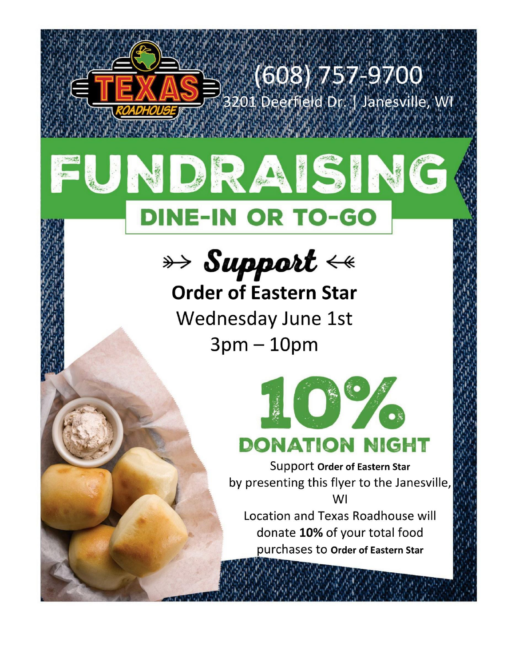

**Order of Eastern Star** Wednesday June 1st  $3pm-10pm$ 



**Support Order of Eastern Star** by presenting this flyer to the Janesville, **WI** 

Location and Texas Roadhouse will donate 10% of your total food purchases to Order of Eastern Star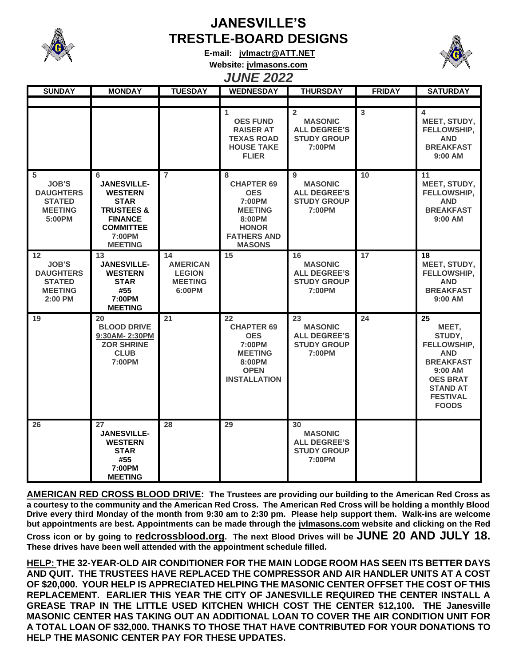

## **JANESVILLE'S TRESTLE-BOARD DESIGNS**

**E-mail: [jvlmactr@ATT.NET](mailto:jvlmactr@ATT.NET)**



# **Website: jvlmasons.com**

## *JUNE 2022*

| <b>SUNDAY</b>                                                                          | <b>MONDAY</b>                                                                                                                                       | <b>TUESDAY</b>                                                     | <b>WEDNESDAY</b>                                                                                                                  | <b>THURSDAY</b>                                                                         | <b>FRIDAY</b> | <b>SATURDAY</b>                                                                                                                                            |
|----------------------------------------------------------------------------------------|-----------------------------------------------------------------------------------------------------------------------------------------------------|--------------------------------------------------------------------|-----------------------------------------------------------------------------------------------------------------------------------|-----------------------------------------------------------------------------------------|---------------|------------------------------------------------------------------------------------------------------------------------------------------------------------|
|                                                                                        |                                                                                                                                                     |                                                                    |                                                                                                                                   |                                                                                         |               |                                                                                                                                                            |
|                                                                                        |                                                                                                                                                     |                                                                    | 1<br><b>OES FUND</b><br><b>RAISER AT</b><br><b>TEXAS ROAD</b><br><b>HOUSE TAKE</b><br><b>FLIER</b>                                | $\overline{2}$<br><b>MASONIC</b><br><b>ALL DEGREE'S</b><br><b>STUDY GROUP</b><br>7:00PM | 3             | 4<br>MEET, STUDY,<br>FELLOWSHIP,<br><b>AND</b><br><b>BREAKFAST</b><br>9:00 AM                                                                              |
| 5<br><b>JOB'S</b><br><b>DAUGHTERS</b><br><b>STATED</b><br><b>MEETING</b><br>5:00PM     | 6<br><b>JANESVILLE-</b><br><b>WESTERN</b><br><b>STAR</b><br><b>TRUSTEES &amp;</b><br><b>FINANCE</b><br><b>COMMITTEE</b><br>7:00PM<br><b>MEETING</b> | $\overline{7}$                                                     | 8<br><b>CHAPTER 69</b><br><b>OES</b><br>7:00PM<br><b>MEETING</b><br>8:00PM<br><b>HONOR</b><br><b>FATHERS AND</b><br><b>MASONS</b> | 9<br><b>MASONIC</b><br><b>ALL DEGREE'S</b><br><b>STUDY GROUP</b><br>7:00PM              | 10            | 11<br>MEET, STUDY,<br>FELLOWSHIP,<br><b>AND</b><br><b>BREAKFAST</b><br>$9:00$ AM                                                                           |
| 12<br><b>JOB'S</b><br><b>DAUGHTERS</b><br><b>STATED</b><br><b>MEETING</b><br>$2:00$ PM | 13<br><b>JANESVILLE-</b><br><b>WESTERN</b><br><b>STAR</b><br>#55<br>7:00PM<br><b>MEETING</b>                                                        | 14<br><b>AMERICAN</b><br><b>LEGION</b><br><b>MEETING</b><br>6:00PM | 15                                                                                                                                | 16<br><b>MASONIC</b><br><b>ALL DEGREE'S</b><br><b>STUDY GROUP</b><br>7:00PM             | 17            | 18<br>MEET, STUDY,<br>FELLOWSHIP,<br><b>AND</b><br><b>BREAKFAST</b><br>$9:00$ AM                                                                           |
| 19                                                                                     | 20<br><b>BLOOD DRIVE</b><br>9:30AM-2:30PM<br><b>ZOR SHRINE</b><br><b>CLUB</b><br>7:00PM                                                             | 21                                                                 | 22<br><b>CHAPTER 69</b><br><b>OES</b><br>7:00PM<br><b>MEETING</b><br>8:00PM<br><b>OPEN</b><br><b>INSTALLATION</b>                 | 23<br><b>MASONIC</b><br><b>ALL DEGREE'S</b><br><b>STUDY GROUP</b><br>7:00PM             | 24            | 25<br>MEET,<br>STUDY,<br>FELLOWSHIP,<br><b>AND</b><br><b>BREAKFAST</b><br>9:00 AM<br><b>OES BRAT</b><br><b>STAND AT</b><br><b>FESTIVAL</b><br><b>FOODS</b> |
| 26                                                                                     | 27<br><b>JANESVILLE-</b><br><b>WESTERN</b><br><b>STAR</b><br>#55<br>7:00PM<br><b>MEETING</b>                                                        | 28                                                                 | 29                                                                                                                                | 30<br><b>MASONIC</b><br><b>ALL DEGREE'S</b><br><b>STUDY GROUP</b><br>7:00PM             |               |                                                                                                                                                            |

**AMERICAN RED CROSS BLOOD DRIVE: The Trustees are providing our building to the American Red Cross as a courtesy to the community and the American Red Cross. The American Red Cross will be holding a monthly Blood Drive every third Monday of the month from 9:30 am to 2:30 pm. Please help support them. Walk-ins are welcome but appointments are best. Appointments can be made through the jvlmasons.com website and clicking on the Red** 

**Cross icon or by going to redcrossblood.org. The next Blood Drives will be JUNE 20 AND JULY 18. These drives have been well attended with the appointment schedule filled.**

**HELP: THE 32-YEAR-OLD AIR CONDITIONER FOR THE MAIN LODGE ROOM HAS SEEN ITS BETTER DAYS AND QUIT. THE TRUSTEES HAVE REPLACED THE COMPRESSOR AND AIR HANDLER UNITS AT A COST OF \$20,000. YOUR HELP IS APPRECIATED HELPING THE MASONIC CENTER OFFSET THE COST OF THIS REPLACEMENT. EARLIER THIS YEAR THE CITY OF JANESVILLE REQUIRED THE CENTER INSTALL A GREASE TRAP IN THE LITTLE USED KITCHEN WHICH COST THE CENTER \$12,100. THE Janesville MASONIC CENTER HAS TAKING OUT AN ADDITIONAL LOAN TO COVER THE AIR CONDITION UNIT FOR A TOTAL LOAN OF \$32,000. THANKS TO THOSE THAT HAVE CONTRIBUTED FOR YOUR DONATIONS TO HELP THE MASONIC CENTER PAY FOR THESE UPDATES.**